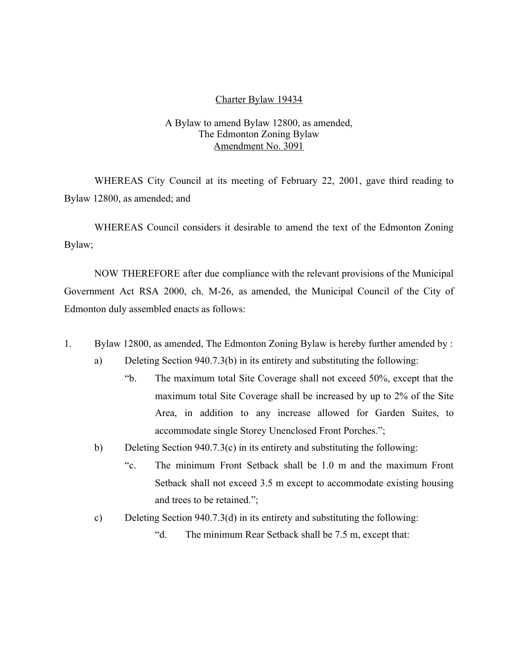#### Charter Bylaw 19434

### A Bylaw to amend Bylaw 12800, as amended, The Edmonton Zoning Bylaw Amendment No. 3091

WHEREAS City Council at its meeting of February 22, 2001, gave third reading to Bylaw 12800, as amended; and

WHEREAS Council considers it desirable to amend the text of the Edmonton Zoning Bylaw;

NOW THEREFORE after due compliance with the relevant provisions of the Municipal Government Act RSA 2000, ch. M-26, as amended, the Municipal Council of the City of Edmonton duly assembled enacts as follows:

- 1. Bylaw 12800, as amended, The Edmonton Zoning Bylaw is hereby further amended by :
	- a) Deleting Section 940.7.3(b) in its entirety and substituting the following:
		- "b. The maximum total Site Coverage shall not exceed 50%, except that the maximum total Site Coverage shall be increased by up to 2% of the Site Area, in addition to any increase allowed for Garden Suites, to accommodate single Storey Unenclosed Front Porches.";
	- b) Deleting Section 940.7.3(c) in its entirety and substituting the following:
		- "c. The minimum Front Setback shall be 1.0 m and the maximum Front Setback shall not exceed 3.5 m except to accommodate existing housing and trees to be retained.";
	- c) Deleting Section 940.7.3(d) in its entirety and substituting the following:
		- "d. The minimum Rear Setback shall be 7.5 m, except that: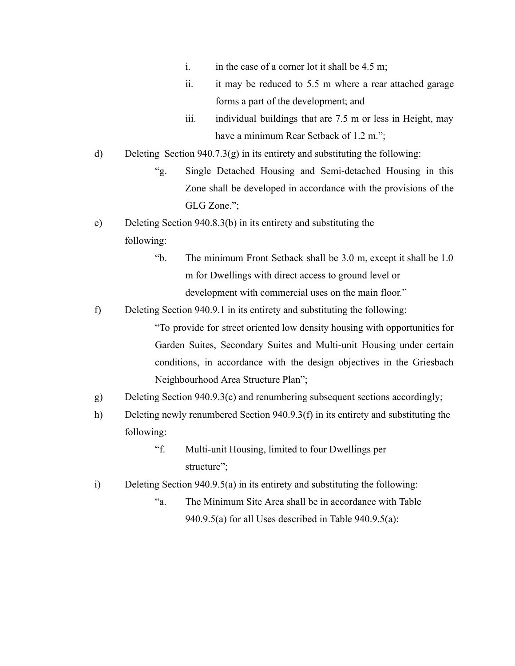- i. in the case of a corner lot it shall be  $4.5 \text{ m}$ ;
- ii. it may be reduced to 5.5 m where a rear attached garage forms a part of the development; and
- iii. individual buildings that are 7.5 m or less in Height, may have a minimum Rear Setback of 1.2 m.";
- d) Deleting Section  $940.7.3(g)$  in its entirety and substituting the following:
	- "g. Single Detached Housing and Semi-detached Housing in this Zone shall be developed in accordance with the provisions of the GLG Zone.";
- e) Deleting Section 940.8.3(b) in its entirety and substituting the following:
	- "b. The minimum Front Setback shall be 3.0 m, except it shall be 1.0 m for Dwellings with direct access to ground level or development with commercial uses on the main floor."
- f) Deleting Section 940.9.1 in its entirety and substituting the following:

"To provide for street oriented low density housing with opportunities for Garden Suites, Secondary Suites and Multi-unit Housing under certain conditions, in accordance with the design objectives in the Griesbach Neighbourhood Area Structure Plan";

- g) Deleting Section 940.9.3(c) and renumbering subsequent sections accordingly;
- h) Deleting newly renumbered Section 940.9.3(f) in its entirety and substituting the following:
	- "f. Multi-unit Housing, limited to four Dwellings per structure";
- i) Deleting Section 940.9.5(a) in its entirety and substituting the following:
	- "a. The Minimum Site Area shall be in accordance with Table 940.9.5(a) for all Uses described in Table 940.9.5(a):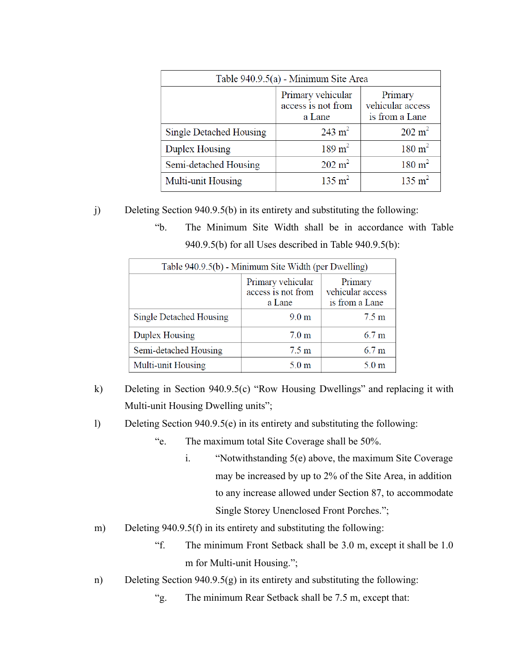| Table 940.9.5(a) - Minimum Site Area |                                                   |                                               |  |
|--------------------------------------|---------------------------------------------------|-----------------------------------------------|--|
|                                      | Primary vehicular<br>access is not from<br>a Lane | Primary<br>vehicular access<br>is from a Lane |  |
| <b>Single Detached Housing</b>       | $243 \text{ m}^2$                                 | $202 \text{ m}^2$                             |  |
| Duplex Housing                       | $189 \text{ m}^2$                                 | $180 \text{ m}^2$                             |  |
| Semi-detached Housing                | $202 \text{ m}^2$                                 | $180 \text{ m}^2$                             |  |
| Multi-unit Housing                   | $135 \text{ m}^2$                                 | $135 \text{ m}^2$                             |  |

j) Deleting Section 940.9.5(b) in its entirety and substituting the following:

"b. The Minimum Site Width shall be in accordance with Table 940.9.5(b) for all Uses described in Table 940.9.5(b):

| Table 940.9.5(b) - Minimum Site Width (per Dwelling) |                                                   |                                               |  |
|------------------------------------------------------|---------------------------------------------------|-----------------------------------------------|--|
|                                                      | Primary vehicular<br>access is not from<br>a Lane | Primary<br>vehicular access<br>is from a Lane |  |
| Single Detached Housing                              | 9.0 <sub>m</sub>                                  | $7.5 \text{ m}$                               |  |
| Duplex Housing                                       | 7.0 <sub>m</sub>                                  | 6.7 <sub>m</sub>                              |  |
| Semi-detached Housing                                | $7.5 \text{ m}$                                   | 6.7 <sub>m</sub>                              |  |
| Multi-unit Housing                                   | 5.0 <sub>m</sub>                                  | 5.0 <sub>m</sub>                              |  |

k) Deleting in Section 940.9.5(c) "Row Housing Dwellings" and replacing it with Multi-unit Housing Dwelling units";

l) Deleting Section 940.9.5(e) in its entirety and substituting the following:

- "e. The maximum total Site Coverage shall be 50%.
	- i. "Notwithstanding 5(e) above, the maximum Site Coverage may be increased by up to 2% of the Site Area, in addition to any increase allowed under Section 87, to accommodate Single Storey Unenclosed Front Porches.";
- m) Deleting 940.9.5(f) in its entirety and substituting the following:
	- "f. The minimum Front Setback shall be 3.0 m, except it shall be 1.0 m for Multi-unit Housing.";
- n) Deleting Section 940.9.5(g) in its entirety and substituting the following:
	- "g. The minimum Rear Setback shall be 7.5 m, except that: